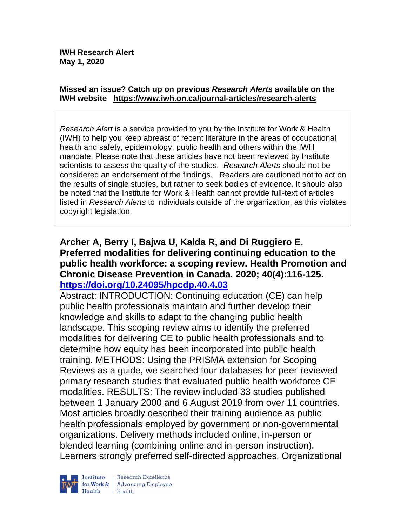#### **Missed an issue? Catch up on previous** *Research Alerts* **available on the [IWH website](http://www.iwh.on.ca/research-alerts) <https://www.iwh.on.ca/journal-articles/research-alerts>**

*Research Alert* is a service provided to you by the Institute for Work & Health (IWH) to help you keep abreast of recent literature in the areas of occupational health and safety, epidemiology, public health and others within the IWH mandate. Please note that these articles have not been reviewed by Institute scientists to assess the quality of the studies. *Research Alerts* should not be considered an endorsement of the findings. Readers are cautioned not to act on the results of single studies, but rather to seek bodies of evidence. It should also be noted that the Institute for Work & Health cannot provide full-text of articles listed in *Research Alerts* to individuals outside of the organization, as this violates copyright legislation.

### **Archer A, Berry I, Bajwa U, Kalda R, and Di Ruggiero E. Preferred modalities for delivering continuing education to the public health workforce: a scoping review. Health Promotion and Chronic Disease Prevention in Canada. 2020; 40(4):116-125. <https://doi.org/10.24095/hpcdp.40.4.03>**

Abstract: INTRODUCTION: Continuing education (CE) can help public health professionals maintain and further develop their knowledge and skills to adapt to the changing public health landscape. This scoping review aims to identify the preferred modalities for delivering CE to public health professionals and to determine how equity has been incorporated into public health training. METHODS: Using the PRISMA extension for Scoping Reviews as a guide, we searched four databases for peer-reviewed primary research studies that evaluated public health workforce CE modalities. RESULTS: The review included 33 studies published between 1 January 2000 and 6 August 2019 from over 11 countries. Most articles broadly described their training audience as public health professionals employed by government or non-governmental organizations. Delivery methods included online, in-person or blended learning (combining online and in-person instruction). Learners strongly preferred self-directed approaches. Organizational



Research Excellence for Work & Advancing Employee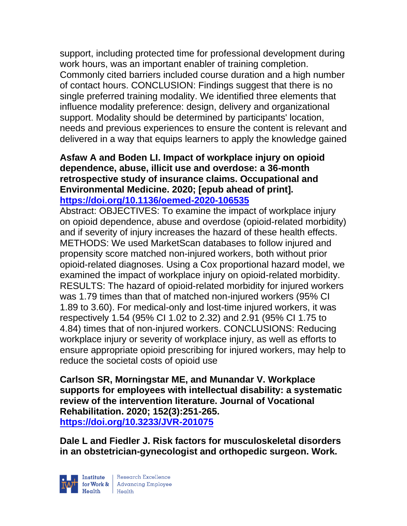support, including protected time for professional development during work hours, was an important enabler of training completion. Commonly cited barriers included course duration and a high number of contact hours. CONCLUSION: Findings suggest that there is no single preferred training modality. We identified three elements that influence modality preference: design, delivery and organizational support. Modality should be determined by participants' location, needs and previous experiences to ensure the content is relevant and delivered in a way that equips learners to apply the knowledge gained

### **Asfaw A and Boden LI. Impact of workplace injury on opioid dependence, abuse, illicit use and overdose: a 36-month retrospective study of insurance claims. Occupational and Environmental Medicine. 2020; [epub ahead of print]. <https://doi.org/10.1136/oemed-2020-106535>**

Abstract: OBJECTIVES: To examine the impact of workplace injury on opioid dependence, abuse and overdose (opioid-related morbidity) and if severity of injury increases the hazard of these health effects. METHODS: We used MarketScan databases to follow injured and propensity score matched non-injured workers, both without prior opioid-related diagnoses. Using a Cox proportional hazard model, we examined the impact of workplace injury on opioid-related morbidity. RESULTS: The hazard of opioid-related morbidity for injured workers was 1.79 times than that of matched non-injured workers (95% CI 1.89 to 3.60). For medical-only and lost-time injured workers, it was respectively 1.54 (95% CI 1.02 to 2.32) and 2.91 (95% CI 1.75 to 4.84) times that of non-injured workers. CONCLUSIONS: Reducing workplace injury or severity of workplace injury, as well as efforts to ensure appropriate opioid prescribing for injured workers, may help to reduce the societal costs of opioid use

**Carlson SR, Morningstar ME, and Munandar V. Workplace supports for employees with intellectual disability: a systematic review of the intervention literature. Journal of Vocational Rehabilitation. 2020; 152(3):251-265. <https://doi.org/10.3233/JVR-201075>** 

**Dale L and Fiedler J. Risk factors for musculoskeletal disorders in an obstetrician-gynecologist and orthopedic surgeon. Work.** 

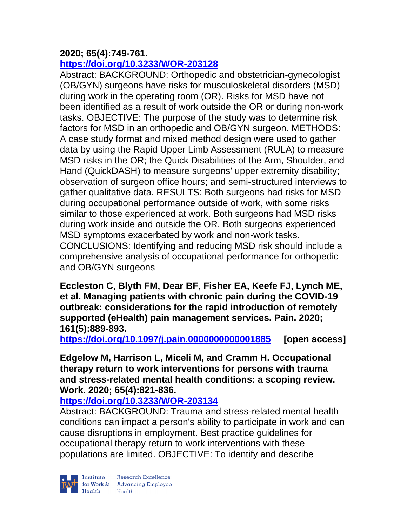# **2020; 65(4):749-761.**

# **<https://doi.org/10.3233/WOR-203128>**

Abstract: BACKGROUND: Orthopedic and obstetrician-gynecologist (OB/GYN) surgeons have risks for musculoskeletal disorders (MSD) during work in the operating room (OR). Risks for MSD have not been identified as a result of work outside the OR or during non-work tasks. OBJECTIVE: The purpose of the study was to determine risk factors for MSD in an orthopedic and OB/GYN surgeon. METHODS: A case study format and mixed method design were used to gather data by using the Rapid Upper Limb Assessment (RULA) to measure MSD risks in the OR; the Quick Disabilities of the Arm, Shoulder, and Hand (QuickDASH) to measure surgeons' upper extremity disability; observation of surgeon office hours; and semi-structured interviews to gather qualitative data. RESULTS: Both surgeons had risks for MSD during occupational performance outside of work, with some risks similar to those experienced at work. Both surgeons had MSD risks during work inside and outside the OR. Both surgeons experienced MSD symptoms exacerbated by work and non-work tasks. CONCLUSIONS: Identifying and reducing MSD risk should include a comprehensive analysis of occupational performance for orthopedic and OB/GYN surgeons

**Eccleston C, Blyth FM, Dear BF, Fisher EA, Keefe FJ, Lynch ME, et al. Managing patients with chronic pain during the COVID-19 outbreak: considerations for the rapid introduction of remotely supported (eHealth) pain management services. Pain. 2020; 161(5):889-893.** 

**<https://doi.org/10.1097/j.pain.0000000000001885> [open access]**

**Edgelow M, Harrison L, Miceli M, and Cramm H. Occupational therapy return to work interventions for persons with trauma and stress-related mental health conditions: a scoping review. Work. 2020; 65(4):821-836.** 

**<https://doi.org/10.3233/WOR-203134>** 

Abstract: BACKGROUND: Trauma and stress-related mental health conditions can impact a person's ability to participate in work and can cause disruptions in employment. Best practice guidelines for occupational therapy return to work interventions with these populations are limited. OBJECTIVE: To identify and describe

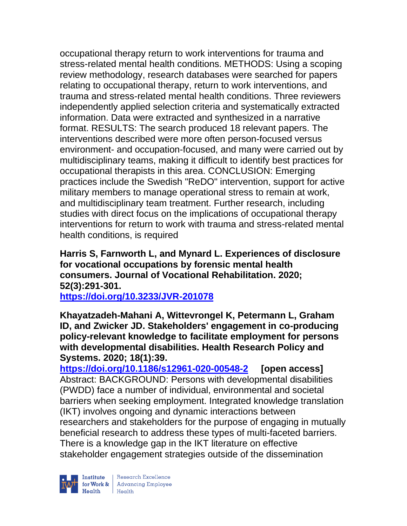occupational therapy return to work interventions for trauma and stress-related mental health conditions. METHODS: Using a scoping review methodology, research databases were searched for papers relating to occupational therapy, return to work interventions, and trauma and stress-related mental health conditions. Three reviewers independently applied selection criteria and systematically extracted information. Data were extracted and synthesized in a narrative format. RESULTS: The search produced 18 relevant papers. The interventions described were more often person-focused versus environment- and occupation-focused, and many were carried out by multidisciplinary teams, making it difficult to identify best practices for occupational therapists in this area. CONCLUSION: Emerging practices include the Swedish "ReDO" intervention, support for active military members to manage operational stress to remain at work, and multidisciplinary team treatment. Further research, including studies with direct focus on the implications of occupational therapy interventions for return to work with trauma and stress-related mental health conditions, is required

**Harris S, Farnworth L, and Mynard L. Experiences of disclosure for vocational occupations by forensic mental health consumers. Journal of Vocational Rehabilitation. 2020; 52(3):291-301.** 

**<https://doi.org/10.3233/JVR-201078>** 

**Khayatzadeh-Mahani A, Wittevrongel K, Petermann L, Graham ID, and Zwicker JD. Stakeholders' engagement in co-producing policy-relevant knowledge to facilitate employment for persons with developmental disabilities. Health Research Policy and Systems. 2020; 18(1):39.**

**<https://doi.org/10.1186/s12961-020-00548-2> [open access]** Abstract: BACKGROUND: Persons with developmental disabilities (PWDD) face a number of individual, environmental and societal barriers when seeking employment. Integrated knowledge translation (IKT) involves ongoing and dynamic interactions between researchers and stakeholders for the purpose of engaging in mutually beneficial research to address these types of multi-faceted barriers. There is a knowledge gap in the IKT literature on effective stakeholder engagement strategies outside of the dissemination



| Research Excellence for Work & Advancing Employee<br>Health Health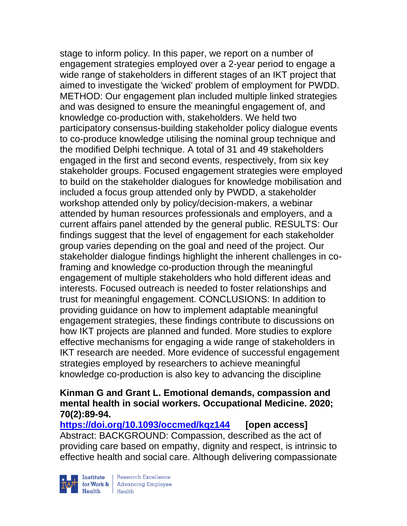stage to inform policy. In this paper, we report on a number of engagement strategies employed over a 2-year period to engage a wide range of stakeholders in different stages of an IKT project that aimed to investigate the 'wicked' problem of employment for PWDD. METHOD: Our engagement plan included multiple linked strategies and was designed to ensure the meaningful engagement of, and knowledge co-production with, stakeholders. We held two participatory consensus-building stakeholder policy dialogue events to co-produce knowledge utilising the nominal group technique and the modified Delphi technique. A total of 31 and 49 stakeholders engaged in the first and second events, respectively, from six key stakeholder groups. Focused engagement strategies were employed to build on the stakeholder dialogues for knowledge mobilisation and included a focus group attended only by PWDD, a stakeholder workshop attended only by policy/decision-makers, a webinar attended by human resources professionals and employers, and a current affairs panel attended by the general public. RESULTS: Our findings suggest that the level of engagement for each stakeholder group varies depending on the goal and need of the project. Our stakeholder dialogue findings highlight the inherent challenges in coframing and knowledge co-production through the meaningful engagement of multiple stakeholders who hold different ideas and interests. Focused outreach is needed to foster relationships and trust for meaningful engagement. CONCLUSIONS: In addition to providing guidance on how to implement adaptable meaningful engagement strategies, these findings contribute to discussions on how IKT projects are planned and funded. More studies to explore effective mechanisms for engaging a wide range of stakeholders in IKT research are needed. More evidence of successful engagement strategies employed by researchers to achieve meaningful knowledge co-production is also key to advancing the discipline

### **Kinman G and Grant L. Emotional demands, compassion and mental health in social workers. Occupational Medicine. 2020; 70(2):89-94.**

**<https://doi.org/10.1093/occmed/kqz144> [open access]** Abstract: BACKGROUND: Compassion, described as the act of providing care based on empathy, dignity and respect, is intrinsic to effective health and social care. Although delivering compassionate

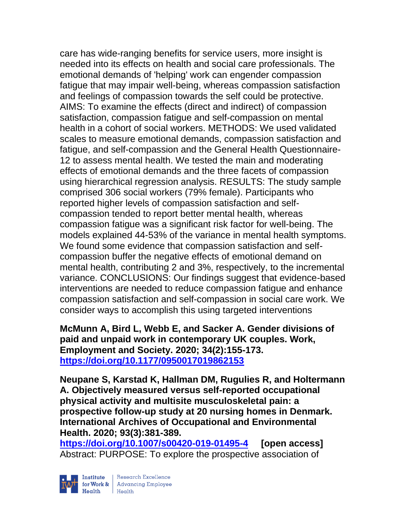care has wide-ranging benefits for service users, more insight is needed into its effects on health and social care professionals. The emotional demands of 'helping' work can engender compassion fatigue that may impair well-being, whereas compassion satisfaction and feelings of compassion towards the self could be protective. AIMS: To examine the effects (direct and indirect) of compassion satisfaction, compassion fatigue and self-compassion on mental health in a cohort of social workers. METHODS: We used validated scales to measure emotional demands, compassion satisfaction and fatigue, and self-compassion and the General Health Questionnaire-12 to assess mental health. We tested the main and moderating effects of emotional demands and the three facets of compassion using hierarchical regression analysis. RESULTS: The study sample comprised 306 social workers (79% female). Participants who reported higher levels of compassion satisfaction and selfcompassion tended to report better mental health, whereas compassion fatigue was a significant risk factor for well-being. The models explained 44-53% of the variance in mental health symptoms. We found some evidence that compassion satisfaction and selfcompassion buffer the negative effects of emotional demand on mental health, contributing 2 and 3%, respectively, to the incremental variance. CONCLUSIONS: Our findings suggest that evidence-based interventions are needed to reduce compassion fatigue and enhance compassion satisfaction and self-compassion in social care work. We consider ways to accomplish this using targeted interventions

**McMunn A, Bird L, Webb E, and Sacker A. Gender divisions of paid and unpaid work in contemporary UK couples. Work, Employment and Society. 2020; 34(2):155-173. <https://doi.org/10.1177/0950017019862153>** 

**Neupane S, Karstad K, Hallman DM, Rugulies R, and Holtermann A. Objectively measured versus self-reported occupational physical activity and multisite musculoskeletal pain: a prospective follow-up study at 20 nursing homes in Denmark. International Archives of Occupational and Environmental Health. 2020; 93(3):381-389.** 

**<https://doi.org/10.1007/s00420-019-01495-4> [open access]** Abstract: PURPOSE: To explore the prospective association of

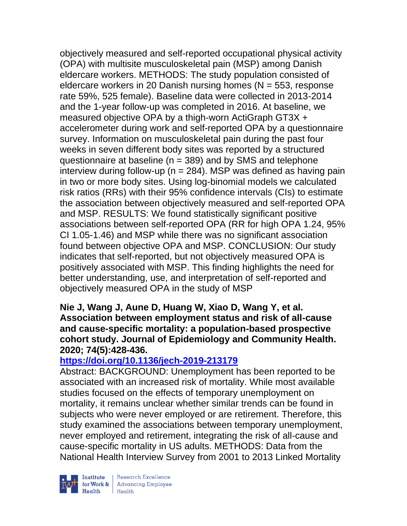objectively measured and self-reported occupational physical activity (OPA) with multisite musculoskeletal pain (MSP) among Danish eldercare workers. METHODS: The study population consisted of eldercare workers in 20 Danish nursing homes ( $N = 553$ , response rate 59%, 525 female). Baseline data were collected in 2013-2014 and the 1-year follow-up was completed in 2016. At baseline, we measured objective OPA by a thigh-worn ActiGraph GT3X + accelerometer during work and self-reported OPA by a questionnaire survey. Information on musculoskeletal pain during the past four weeks in seven different body sites was reported by a structured questionnaire at baseline (n = 389) and by SMS and telephone interview during follow-up ( $n = 284$ ). MSP was defined as having pain in two or more body sites. Using log-binomial models we calculated risk ratios (RRs) with their 95% confidence intervals (CIs) to estimate the association between objectively measured and self-reported OPA and MSP. RESULTS: We found statistically significant positive associations between self-reported OPA (RR for high OPA 1.24, 95% CI 1.05-1.46) and MSP while there was no significant association found between objective OPA and MSP. CONCLUSION: Our study indicates that self-reported, but not objectively measured OPA is positively associated with MSP. This finding highlights the need for better understanding, use, and interpretation of self-reported and objectively measured OPA in the study of MSP

**Nie J, Wang J, Aune D, Huang W, Xiao D, Wang Y, et al. Association between employment status and risk of all-cause and cause-specific mortality: a population-based prospective cohort study. Journal of Epidemiology and Community Health. 2020; 74(5):428-436.** 

# **<https://doi.org/10.1136/jech-2019-213179>**

Abstract: BACKGROUND: Unemployment has been reported to be associated with an increased risk of mortality. While most available studies focused on the effects of temporary unemployment on mortality, it remains unclear whether similar trends can be found in subjects who were never employed or are retirement. Therefore, this study examined the associations between temporary unemployment, never employed and retirement, integrating the risk of all-cause and cause-specific mortality in US adults. METHODS: Data from the National Health Interview Survey from 2001 to 2013 Linked Mortality



 $\begin{tabular}{|l|} Institute & Research Excellence \\ \hline for Work & Advancing Employee \\ Health & Health \\ \end{tabular}$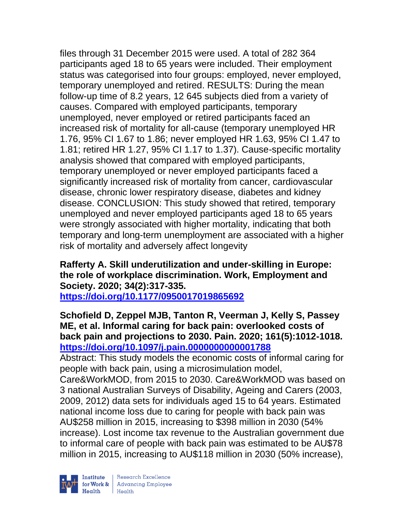files through 31 December 2015 were used. A total of 282 364 participants aged 18 to 65 years were included. Their employment status was categorised into four groups: employed, never employed, temporary unemployed and retired. RESULTS: During the mean follow-up time of 8.2 years, 12 645 subjects died from a variety of causes. Compared with employed participants, temporary unemployed, never employed or retired participants faced an increased risk of mortality for all-cause (temporary unemployed HR 1.76, 95% CI 1.67 to 1.86; never employed HR 1.63, 95% CI 1.47 to 1.81; retired HR 1.27, 95% CI 1.17 to 1.37). Cause-specific mortality analysis showed that compared with employed participants, temporary unemployed or never employed participants faced a significantly increased risk of mortality from cancer, cardiovascular disease, chronic lower respiratory disease, diabetes and kidney disease. CONCLUSION: This study showed that retired, temporary unemployed and never employed participants aged 18 to 65 years were strongly associated with higher mortality, indicating that both temporary and long-term unemployment are associated with a higher risk of mortality and adversely affect longevity

# **Rafferty A. Skill underutilization and under-skilling in Europe: the role of workplace discrimination. Work, Employment and Society. 2020; 34(2):317-335.**

**<https://doi.org/10.1177/0950017019865692>** 

### **Schofield D, Zeppel MJB, Tanton R, Veerman J, Kelly S, Passey ME, et al. Informal caring for back pain: overlooked costs of back pain and projections to 2030. Pain. 2020; 161(5):1012-1018. <https://doi.org/10.1097/j.pain.0000000000001788>**

Abstract: This study models the economic costs of informal caring for people with back pain, using a microsimulation model,

Care&WorkMOD, from 2015 to 2030. Care&WorkMOD was based on 3 national Australian Surveys of Disability, Ageing and Carers (2003, 2009, 2012) data sets for individuals aged 15 to 64 years. Estimated national income loss due to caring for people with back pain was AU\$258 million in 2015, increasing to \$398 million in 2030 (54% increase). Lost income tax revenue to the Australian government due to informal care of people with back pain was estimated to be AU\$78 million in 2015, increasing to AU\$118 million in 2030 (50% increase),

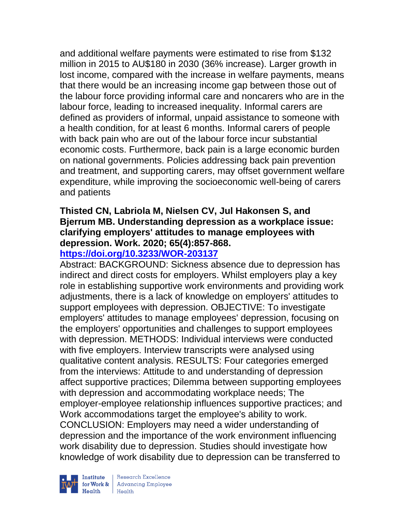and additional welfare payments were estimated to rise from \$132 million in 2015 to AU\$180 in 2030 (36% increase). Larger growth in lost income, compared with the increase in welfare payments, means that there would be an increasing income gap between those out of the labour force providing informal care and noncarers who are in the labour force, leading to increased inequality. Informal carers are defined as providers of informal, unpaid assistance to someone with a health condition, for at least 6 months. Informal carers of people with back pain who are out of the labour force incur substantial economic costs. Furthermore, back pain is a large economic burden on national governments. Policies addressing back pain prevention and treatment, and supporting carers, may offset government welfare expenditure, while improving the socioeconomic well-being of carers and patients

### **Thisted CN, Labriola M, Nielsen CV, Jul Hakonsen S, and Bjerrum MB. Understanding depression as a workplace issue: clarifying employers' attitudes to manage employees with depression. Work. 2020; 65(4):857-868.**

### **<https://doi.org/10.3233/WOR-203137>**

Abstract: BACKGROUND: Sickness absence due to depression has indirect and direct costs for employers. Whilst employers play a key role in establishing supportive work environments and providing work adjustments, there is a lack of knowledge on employers' attitudes to support employees with depression. OBJECTIVE: To investigate employers' attitudes to manage employees' depression, focusing on the employers' opportunities and challenges to support employees with depression. METHODS: Individual interviews were conducted with five employers. Interview transcripts were analysed using qualitative content analysis. RESULTS: Four categories emerged from the interviews: Attitude to and understanding of depression affect supportive practices; Dilemma between supporting employees with depression and accommodating workplace needs; The employer-employee relationship influences supportive practices; and Work accommodations target the employee's ability to work. CONCLUSION: Employers may need a wider understanding of depression and the importance of the work environment influencing work disability due to depression. Studies should investigate how knowledge of work disability due to depression can be transferred to

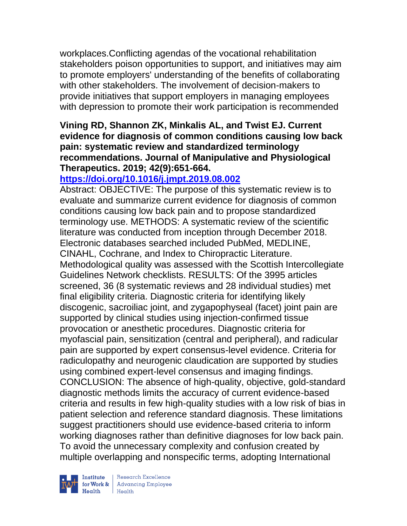workplaces.Conflicting agendas of the vocational rehabilitation stakeholders poison opportunities to support, and initiatives may aim to promote employers' understanding of the benefits of collaborating with other stakeholders. The involvement of decision-makers to provide initiatives that support employers in managing employees with depression to promote their work participation is recommended

### **Vining RD, Shannon ZK, Minkalis AL, and Twist EJ. Current evidence for diagnosis of common conditions causing low back pain: systematic review and standardized terminology recommendations. Journal of Manipulative and Physiological Therapeutics. 2019; 42(9):651-664.**

# **<https://doi.org/10.1016/j.jmpt.2019.08.002>**

Abstract: OBJECTIVE: The purpose of this systematic review is to evaluate and summarize current evidence for diagnosis of common conditions causing low back pain and to propose standardized terminology use. METHODS: A systematic review of the scientific literature was conducted from inception through December 2018. Electronic databases searched included PubMed, MEDLINE, CINAHL, Cochrane, and Index to Chiropractic Literature. Methodological quality was assessed with the Scottish Intercollegiate Guidelines Network checklists. RESULTS: Of the 3995 articles screened, 36 (8 systematic reviews and 28 individual studies) met final eligibility criteria. Diagnostic criteria for identifying likely discogenic, sacroiliac joint, and zygapophyseal (facet) joint pain are supported by clinical studies using injection-confirmed tissue provocation or anesthetic procedures. Diagnostic criteria for myofascial pain, sensitization (central and peripheral), and radicular pain are supported by expert consensus-level evidence. Criteria for radiculopathy and neurogenic claudication are supported by studies using combined expert-level consensus and imaging findings. CONCLUSION: The absence of high-quality, objective, gold-standard diagnostic methods limits the accuracy of current evidence-based criteria and results in few high-quality studies with a low risk of bias in patient selection and reference standard diagnosis. These limitations suggest practitioners should use evidence-based criteria to inform working diagnoses rather than definitive diagnoses for low back pain. To avoid the unnecessary complexity and confusion created by multiple overlapping and nonspecific terms, adopting International



| Research Excellence Institute<br>
for Work & Advancing Employee<br>
Health Health